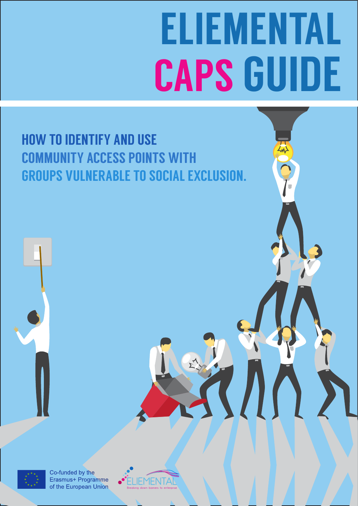# ELIEMENTAL CAPS GUIDE

#### HOW TO IDENTIFY AND USE COMMUNITY ACCESS POINTS WITH GROUPS VULNERABLE TO SOCIAL EXCLUSION.



Co-funded by the Erasmus+ Programme of the European Union

**IEMENTA** Breaking down barriers to enterprise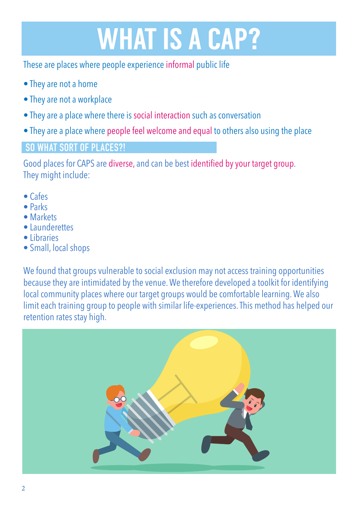# WHAT IS A CAP?

These are places where people experience informal public life

- They are not a home
- They are not a workplace
- They are a place where there is social interaction such as conversation
- They are a place where people feel welcome and equal to others also using the place

#### **SO WHAT SORT OF PLACES?!**

Good places for CAPS are diverse, and can be best identified by your target group. They might include:

- Cafes
- Parks
- Markets
- Launderettes
- Libraries
- Small, local shops

We found that groups vulnerable to social exclusion may not access training opportunities because they are intimidated by the venue. We therefore developed a toolkit for identifying local community places where our target groups would be comfortable learning. We also limit each training group to people with similar life-experiences. This method has helped our retention rates stay high.

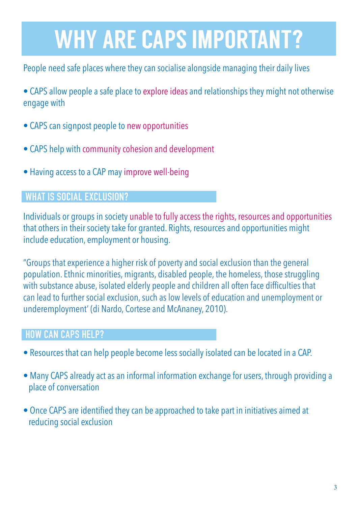# WHY ARE CAPS IMPORTANT?

People need safe places where they can socialise alongside managing their daily lives

- CAPS allow people a safe place to explore ideas and relationships they might not otherwise engage with
- CAPS can signpost people to new opportunities
- CAPS help with community cohesion and development
- Having access to a CAP may improve well-being

#### **WHAT IS SOCIAL EXCLUSION?**

Individuals or groups in society unable to fully access the rights, resources and opportunities that others in their society take for granted. Rights, resources and opportunities might include education, employment or housing.

"Groups that experience a higher risk of poverty and social exclusion than the general population. Ethnic minorities, migrants, disabled people, the homeless, those struggling with substance abuse, isolated elderly people and children all often face difficulties that can lead to further social exclusion, such as low levels of education and unemployment or underemployment' (di Nardo, Cortese and McAnaney, 2010).

#### **HOW CAN CAPS HELP?**

- Resources that can help people become less socially isolated can be located in a CAP.
- Many CAPS already act as an informal information exchange for users, through providing a place of conversation
- Once CAPS are identified they can be approached to take part in initiatives aimed at reducing social exclusion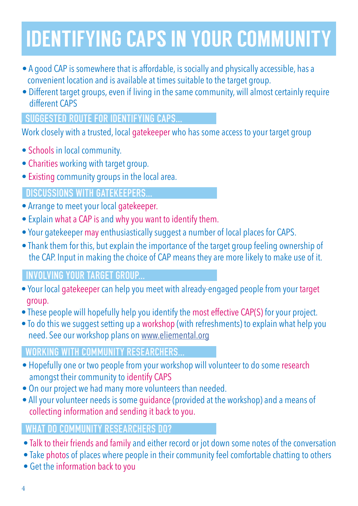## IDENTIFYING CAPS IN YOUR COMMUNITY

- A good CAP is somewhere that is affordable, is socially and physically accessible, has a convenient location and is available at times suitable to the target group.
- Different target groups, even if living in the same community, will almost certainly require different CAPS

#### **SUGGESTED ROUTE FOR IDENTIFYING CAPS...**

Work closely with a trusted, local gatekeeper who has some access to your target group

- Schools in local community.
- Charities working with target group.
- Existing community groups in the local area.

#### **DISCUSSIONS WITH GATEKEEPERS...**

- Arrange to meet your local gatekeeper.
- Explain what a CAP is and why you want to identify them.
- Your gatekeeper may enthusiastically suggest a number of local places for CAPS.
- Thank them for this, but explain the importance of the target group feeling ownership of the CAP. Input in making the choice of CAP means they are more likely to make use of it.

#### **INVOLVING YOUR TARGET GROUP...**

- Your local gatekeeper can help you meet with already-engaged people from your target group.
- These people will hopefully help you identify the most effective CAP(S) for your project.
- To do this we suggest setting up a workshop (with refreshments) to explain what help you need. See our workshop plans on www.eliemental.org

#### **WORKING WITH COMMUNITY RESEARCHERS...**

- Hopefully one or two people from your workshop will volunteer to do some research amongst their community to identify CAPS
- On our project we had many more volunteers than needed.
- All your volunteer needs is some guidance (provided at the workshop) and a means of collecting information and sending it back to you.

#### **WHAT DO COMMUNITY RESEARCHERS DO?**

- Talk to their friends and family and either record or jot down some notes of the conversation
- Take photos of places where people in their community feel comfortable chatting to others
- Get the information back to you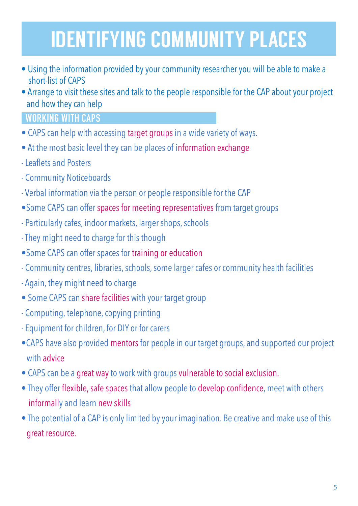## IDENTIFYING COMMUNITY PLACES

- Using the information provided by your community researcher you will be able to make a short-list of CAPS
- Arrange to visit these sites and talk to the people responsible for the CAP about your project and how they can help

#### **WORKING WITH CAPS**

- CAPS can help with accessing target groups in a wide variety of ways.
- At the most basic level they can be places of information exchange
- Leaflets and Posters
- Community Noticeboards
- Verbal information via the person or people responsible for the CAP
- •Some CAPS can offer spaces for meeting representatives from target groups
- Particularly cafes, indoor markets, larger shops, schools
- They might need to charge for this though
- •Some CAPS can offer spaces for training or education
- Community centres, libraries, schools, some larger cafes or community health facilities
- Again, they might need to charge
- Some CAPS can share facilities with your target group
- Computing, telephone, copying printing
- Equipment for children, for DIY or for carers
- •CAPS have also provided mentors for people in our target groups, and supported our project with advice
- CAPS can be a great way to work with groups vulnerable to social exclusion.
- They offer flexible, safe spaces that allow people to develop confidence, meet with others informally and learn new skills
- The potential of a CAP is only limited by your imagination. Be creative and make use of this great resource.